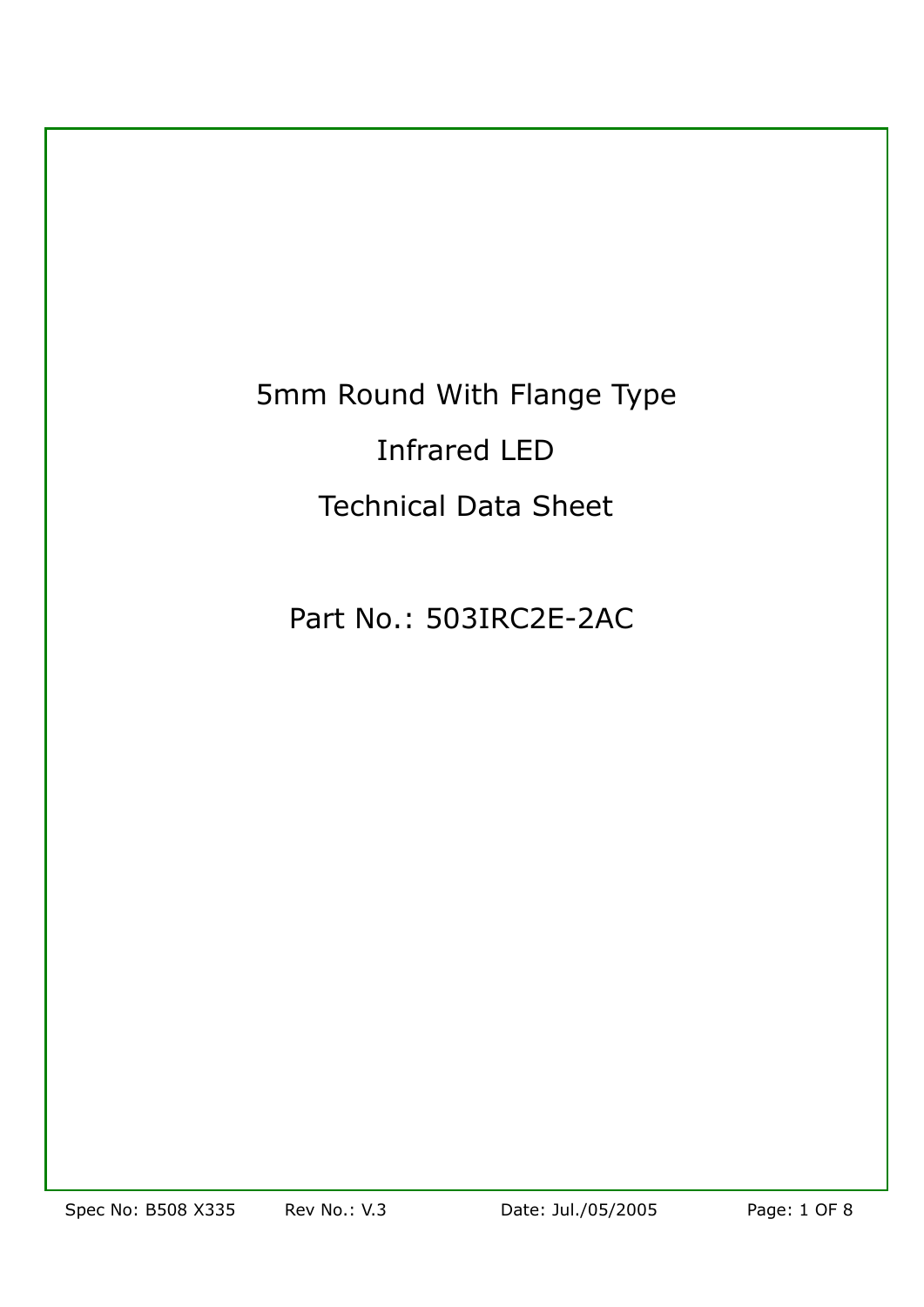5mm Round With Flange Type Infrared LED Technical Data Sheet

Part No.: 503IRC2E-2AC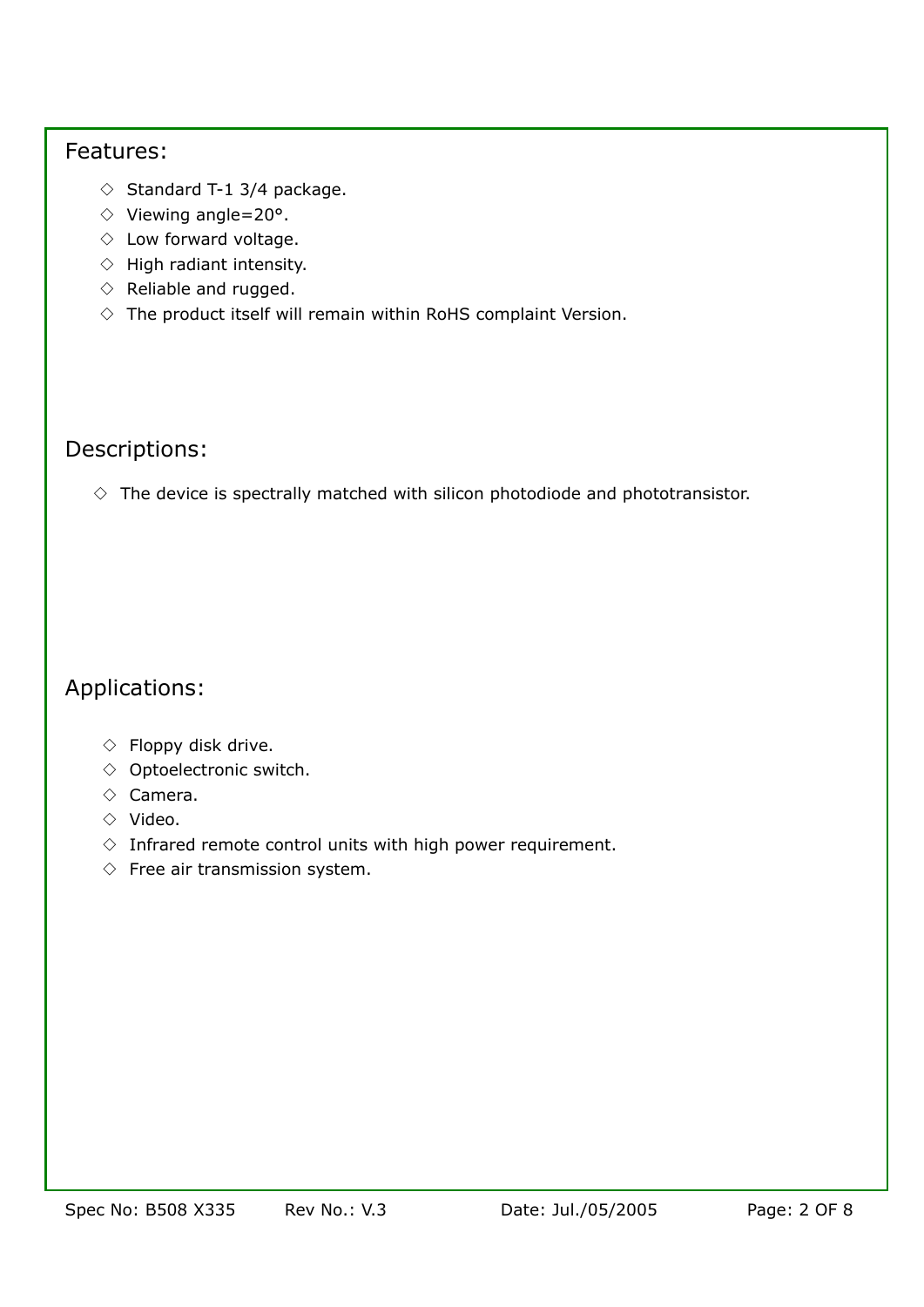#### Features:

- $\Diamond$  Standard T-1 3/4 package.
- ◇ Standard T-1 3/4 package.<br>◇ Viewing angle=20°.
- ◇ Low forward voltage. ◇ Low forward voltage.
- $\Diamond$  Lew formate voltage.
- ◇ Pingin rediation interiore,
- $\Diamond$  . The areal into the effective  $\diamond$  The product itself will remain within RoHS complaint Version.

## Descriptions:

 $\diamond$  The device is spectrally matched with silicon photodiode and phototransistor.

## Applications:

- ◇ Floppy disk drive ◇ Floppy disk drive.
- $\diamond$  Optoelectronic switch.
- ◇ Camera ◇ Camera.
- $\Diamond$  Video.
- $\diamond$  Infrared remote control units with high power requirement.
- $\diamond$  Free air transmission system.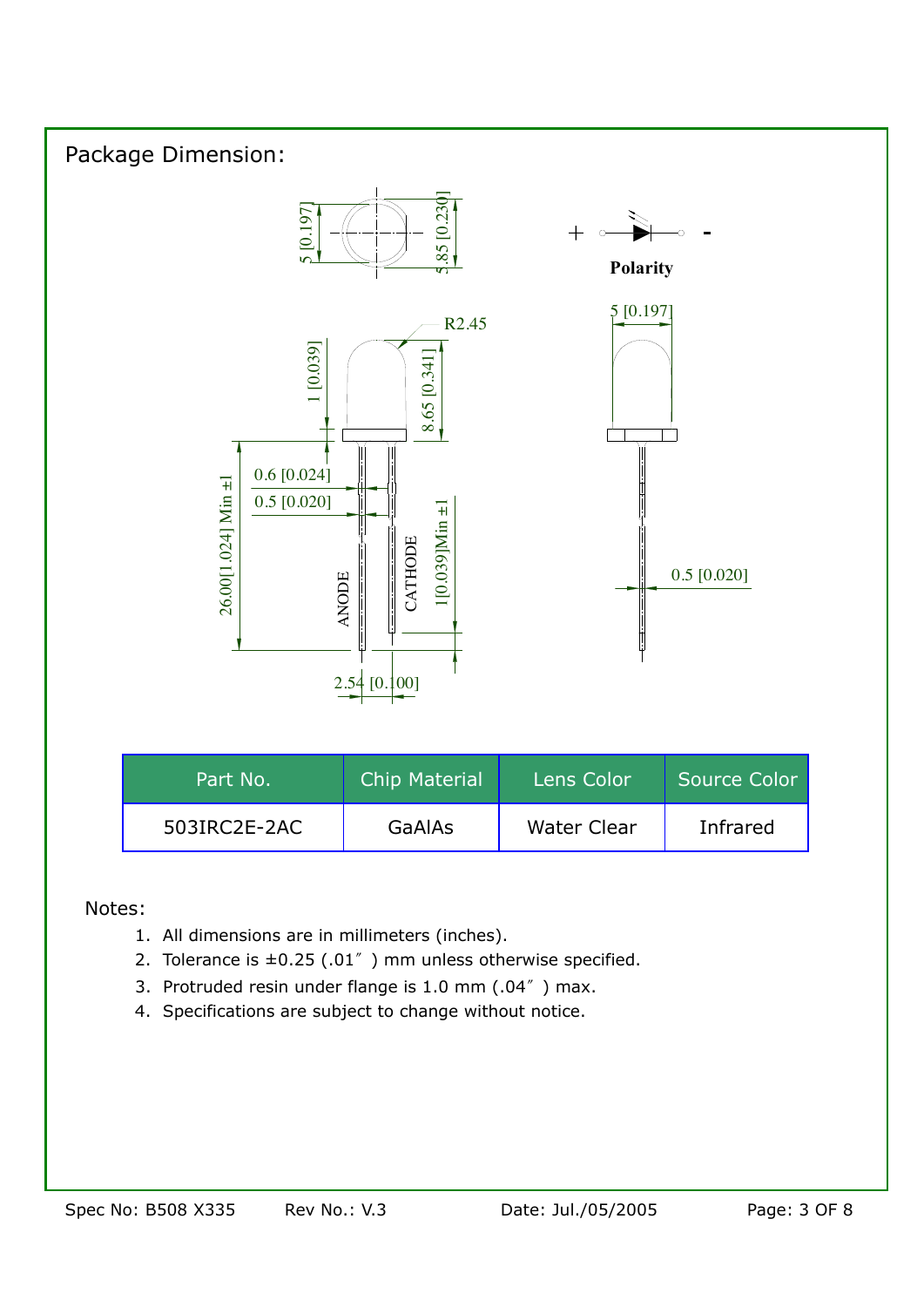

#### Notes:

- 1. All dimensions are in millimeters (inches).
- 2. Tolerance is  $\pm 0.25$  (.01<sup> $\degree$ </sup>) mm unless otherwise specified.
- 3. Protruded resin under flange is 1.0 mm (.04〞) max.
- 4. Specifications are subject to change without notice.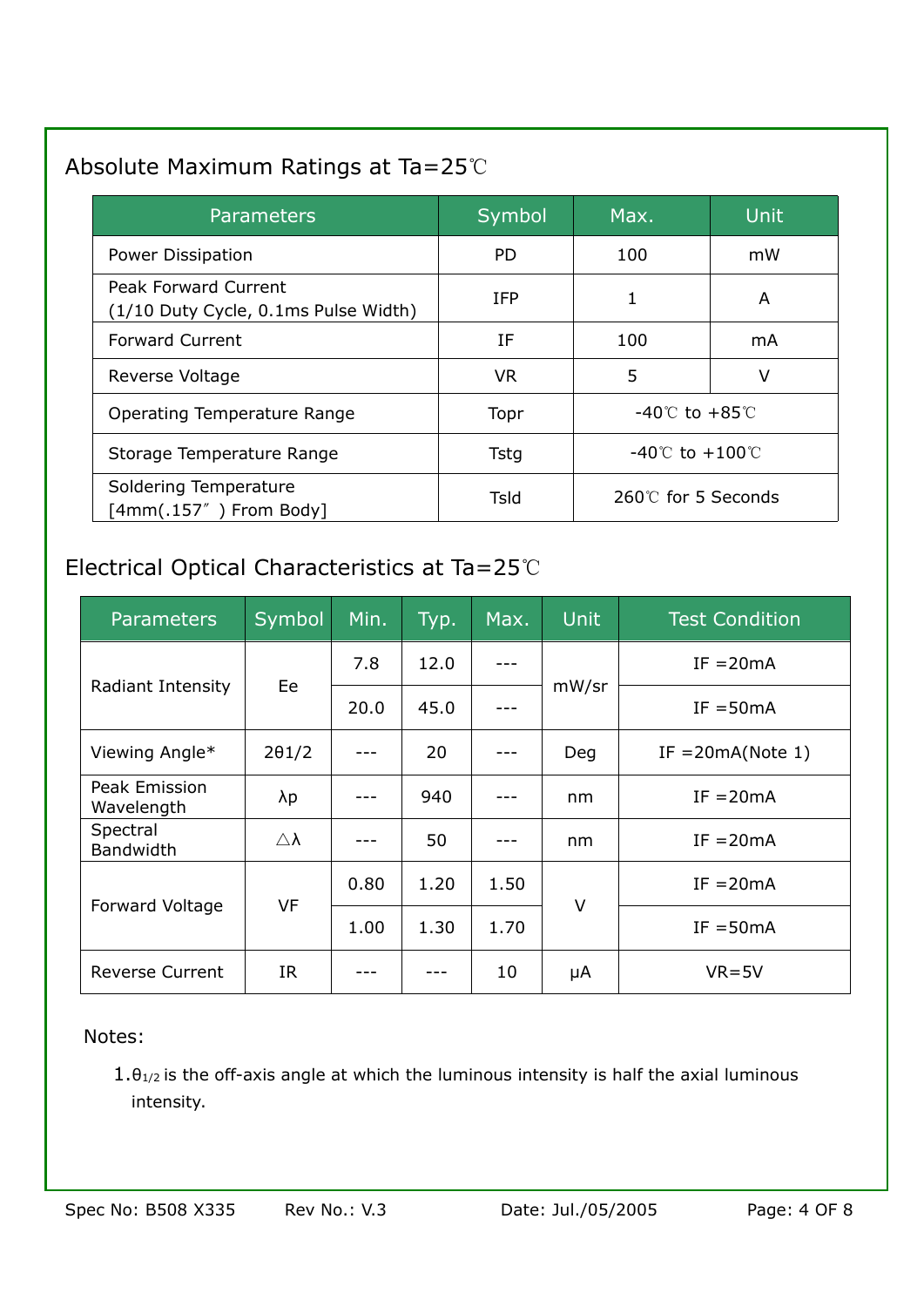# Absolute Maximum Ratings at Ta=25℃

| <b>Parameters</b>                                            | <b>Symbol</b> | Max.                                | <b>Unit</b> |
|--------------------------------------------------------------|---------------|-------------------------------------|-------------|
| Power Dissipation                                            | <b>PD</b>     | 100                                 | mW          |
| Peak Forward Current<br>(1/10 Duty Cycle, 0.1ms Pulse Width) | <b>IFP</b>    | 1                                   | A           |
| <b>Forward Current</b>                                       | ΙF            | 100                                 | mA          |
| Reverse Voltage                                              | VR.           | 5                                   | V           |
| Operating Temperature Range                                  | Topr          | -40℃ to +85℃                        |             |
| Storage Temperature Range                                    | Tstg          | $-40^{\circ}$ C to $+100^{\circ}$ C |             |
| Soldering Temperature<br>$[4mm(.157'')$ From Body]           | Tsld          | $260^{\circ}$ for 5 Seconds         |             |

# Electrical Optical Characteristics at Ta=25℃

| <b>Parameters</b>            | Symbol              | Min. | Typ. | Max. | <b>Unit</b> | <b>Test Condition</b> |
|------------------------------|---------------------|------|------|------|-------------|-----------------------|
| Radiant Intensity            | Ee                  | 7.8  | 12.0 |      | mW/sr       | $IF = 20mA$           |
|                              |                     | 20.0 | 45.0 |      |             | $IF = 50mA$           |
| Viewing Angle*               | $2\theta$ 1/2       |      | 20   |      | Deg         | IF = $20mA(Note 1)$   |
| Peak Emission<br>Wavelength  | $\lambda p$         |      | 940  |      | nm          | $IF = 20mA$           |
| Spectral<br><b>Bandwidth</b> | $\triangle \lambda$ |      | 50   |      | nm          | $IF = 20mA$           |
| Forward Voltage              | <b>VF</b>           | 0.80 | 1.20 | 1.50 | V           | $IF = 20mA$           |
|                              |                     | 1.00 | 1.30 | 1.70 |             | $IF = 50mA$           |
| <b>Reverse Current</b>       | IR.                 |      |      | 10   | μA          | $VR = 5V$             |

#### Notes:

 $1. \theta_{1/2}$  is the off-axis angle at which the luminous intensity is half the axial luminous intensity.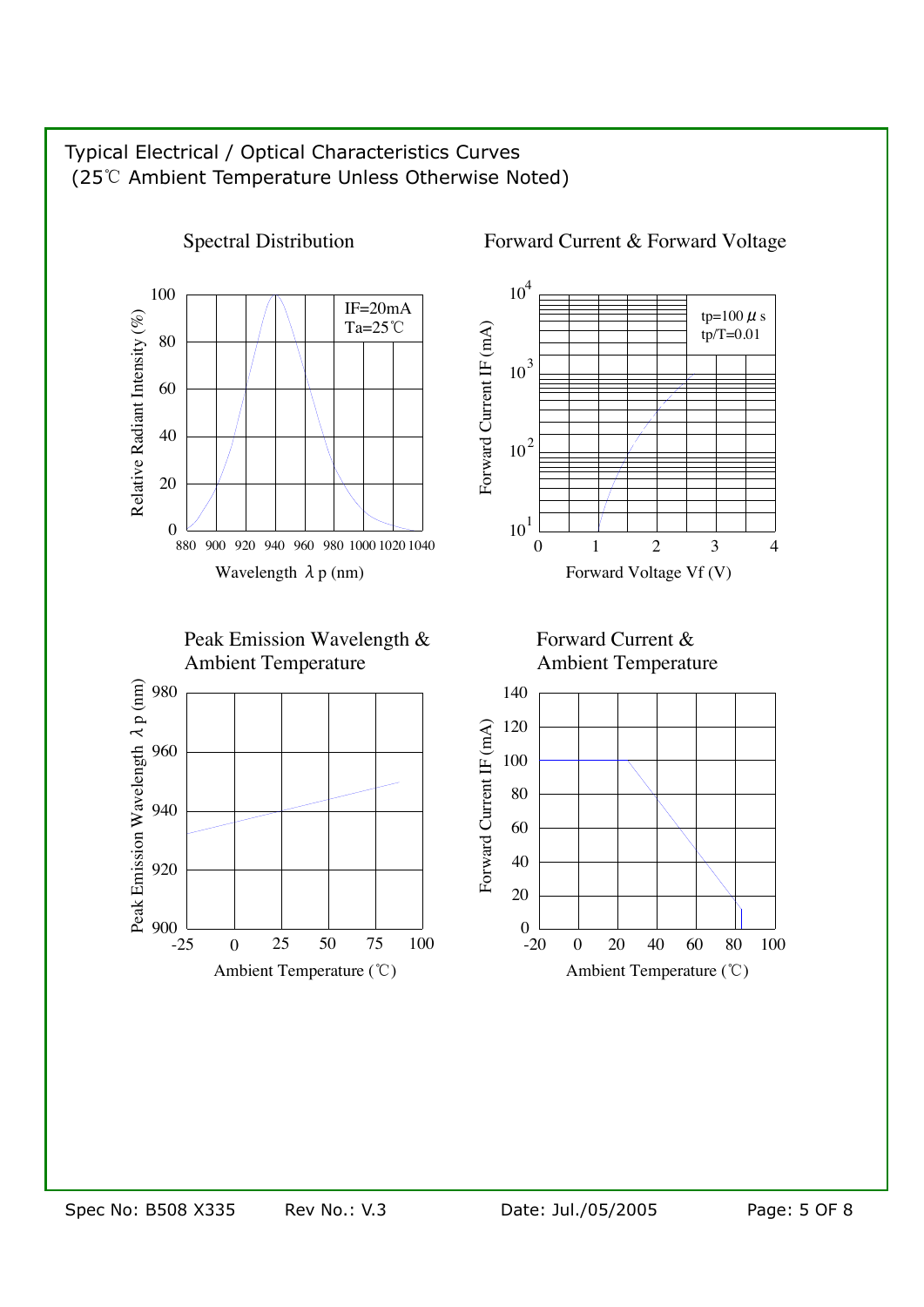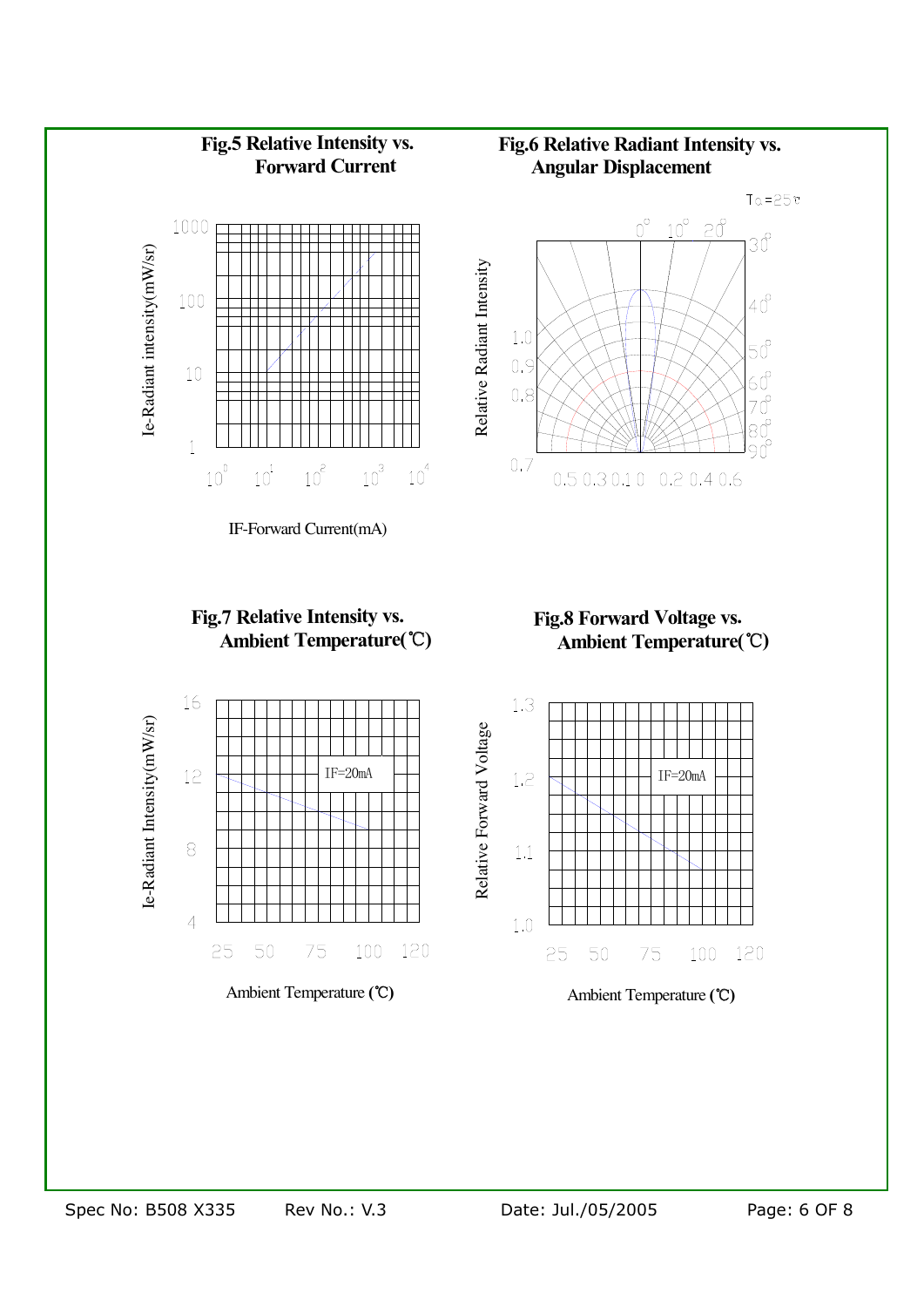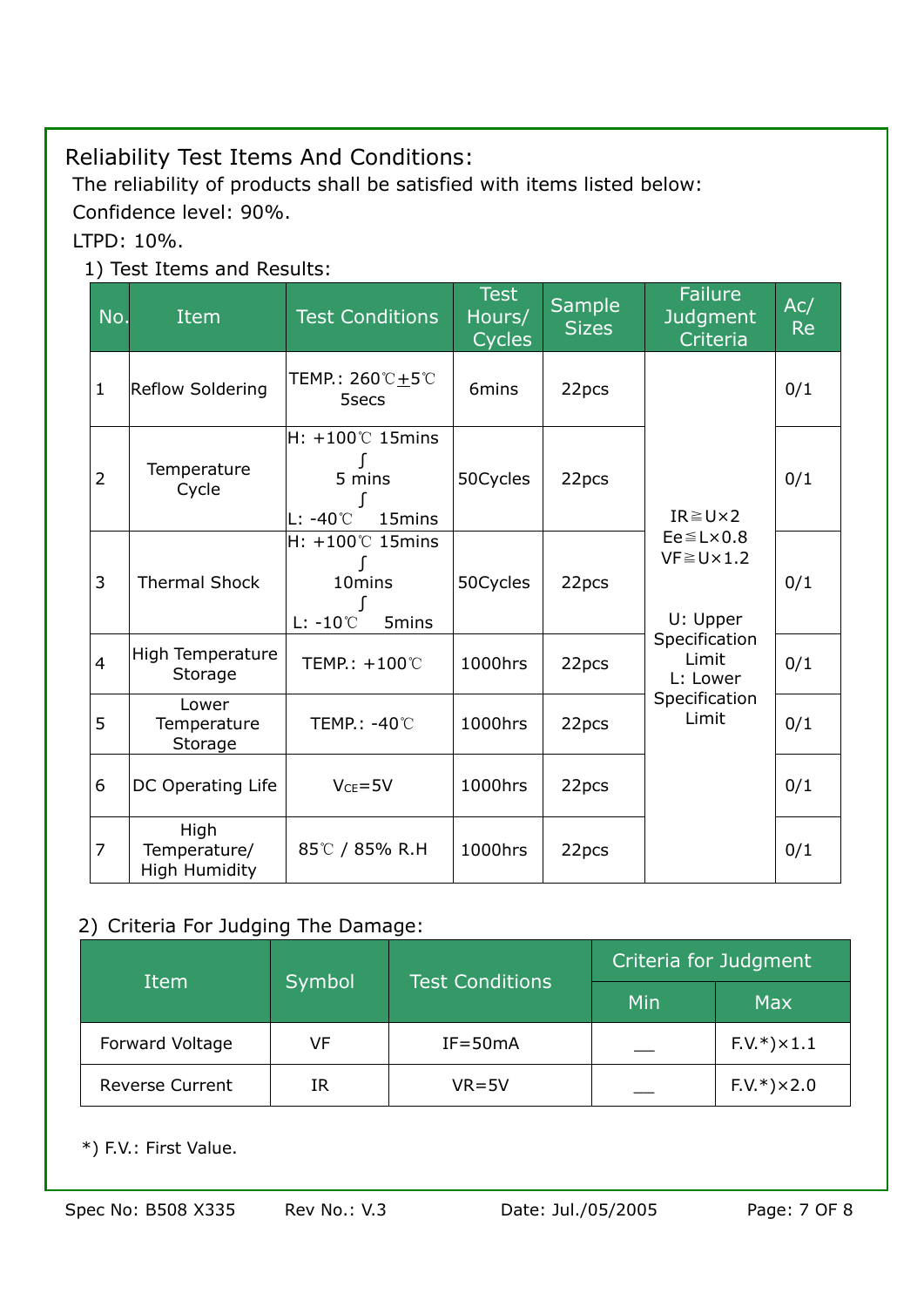# Reliability Test Items And Conditions:

The reliability of products shall be satisfied with items listed below:

Confidence level: 90%.

LTPD: 10%.

### 1) Test Items and Results:

| No.            | Item                                         | <b>Test Conditions</b>                                                       | <b>Test</b><br>Hours/<br>Cycles | <b>Sample</b><br><b>Sizes</b> | <b>Failure</b><br><b>Judgment</b><br>Criteria                | Ac/<br><b>Re</b> |
|----------------|----------------------------------------------|------------------------------------------------------------------------------|---------------------------------|-------------------------------|--------------------------------------------------------------|------------------|
| $\mathbf{1}$   | Reflow Soldering                             | TEMP.: 260℃±5℃<br>5secs                                                      | 6mins                           | 22pcs                         | $IR \geq U \times 2$                                         | 0/1              |
| $\overline{2}$ | Temperature<br>Cycle                         | $H: +100^{\circ}$ 15mins<br>5 mins<br>15 <sub>mins</sub><br>$L: -40^{\circ}$ | 50Cycles                        | 22pcs                         |                                                              | 0/1              |
| 3              | <b>Thermal Shock</b>                         | $H: +100^{\circ}$ 15mins<br>10mins<br>$L: -10^{\circ}$<br>5mins              | 50Cycles                        | 22pcs                         | $Ee \leq L \times 0.8$<br>$VF \ge U \times 1.2$<br>U: Upper  | 0/1              |
| $\overline{4}$ | High Temperature<br>Storage                  | TEMP.: +100℃                                                                 | 1000hrs                         | 22pcs                         | Specification<br>Limit<br>L: Lower<br>Specification<br>Limit | 0/1              |
| 5              | Lower<br>Temperature<br>Storage              | TEMP.: -40℃                                                                  | 1000hrs                         | 22pcs                         |                                                              | 0/1              |
| 6              | DC Operating Life                            | $V_{CE} = 5V$                                                                | 1000hrs                         | 22pcs                         |                                                              | 0/1              |
| $\overline{7}$ | High<br>Temperature/<br><b>High Humidity</b> | 85℃ / 85% R.H                                                                | 1000hrs                         | 22pcs                         |                                                              | 0/1              |

#### 2) Criteria For Judging The Damage:

| Item                   | Symbol |                        | Criteria for Judgment |                 |  |
|------------------------|--------|------------------------|-----------------------|-----------------|--|
|                        |        | <b>Test Conditions</b> | Min                   | <b>Max</b>      |  |
| Forward Voltage        | VF     | $IF = 50mA$            |                       | $F.V.*$ ) × 1.1 |  |
| <b>Reverse Current</b> | IR     | $VR = 5V$              |                       | $F.V.*$ ) × 2.0 |  |

\*) F.V.: First Value.